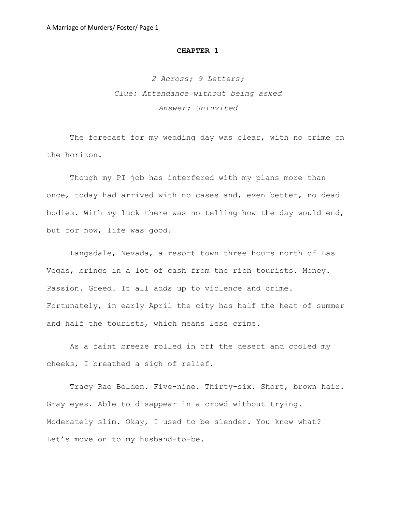# **CHAPTER 1**

*2 Across; 9 Letters; Clue: Attendance without being asked Answer: Uninvited*

The forecast for my wedding day was clear, with no crime on the horizon.

Though my PI job has interfered with my plans more than once, today had arrived with no cases and, even better, no dead bodies. With *my* luck there was no telling how the day would end, but for now, life was good.

Langsdale, Nevada, a resort town three hours north of Las Vegas, brings in a lot of cash from the rich tourists. Money. Passion. Greed. It all adds up to violence and crime. Fortunately, in early April the city has half the heat of summer and half the tourists, which means less crime.

As a faint breeze rolled in off the desert and cooled my cheeks, I breathed a sigh of relief.

Tracy Rae Belden. Five-nine. Thirty-six. Short, brown hair. Gray eyes. Able to disappear in a crowd without trying. Moderately slim. Okay, I used to be slender. You know what? Let's move on to my husband-to-be.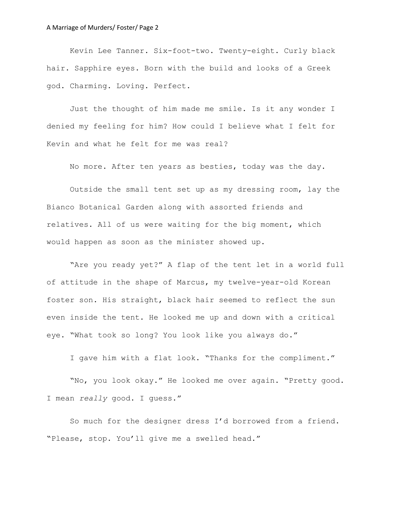Kevin Lee Tanner. Six-foot-two. Twenty-eight. Curly black hair. Sapphire eyes. Born with the build and looks of a Greek god. Charming. Loving. Perfect.

Just the thought of him made me smile. Is it any wonder I denied my feeling for him? How could I believe what I felt for Kevin and what he felt for me was real?

No more. After ten years as besties, today was the day.

Outside the small tent set up as my dressing room, lay the Bianco Botanical Garden along with assorted friends and relatives. All of us were waiting for the big moment, which would happen as soon as the minister showed up.

"Are you ready yet?" A flap of the tent let in a world full of attitude in the shape of Marcus, my twelve-year-old Korean foster son. His straight, black hair seemed to reflect the sun even inside the tent. He looked me up and down with a critical eye. "What took so long? You look like you always do."

I gave him with a flat look. "Thanks for the compliment."

"No, you look okay." He looked me over again. "Pretty good. I mean *really* good. I guess."

So much for the designer dress I'd borrowed from a friend. "Please, stop. You'll give me a swelled head."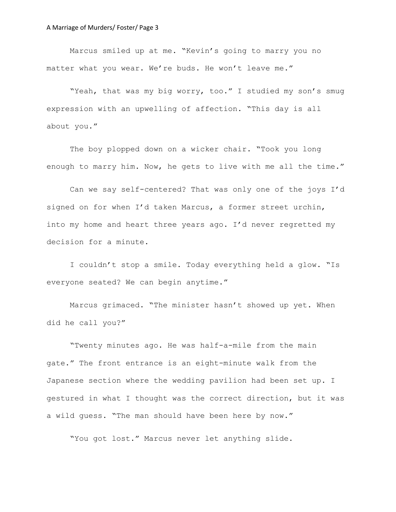Marcus smiled up at me. "Kevin's going to marry you no matter what you wear. We're buds. He won't leave me."

"Yeah, that was my big worry, too." I studied my son's smug expression with an upwelling of affection. "This day is all about you."

The boy plopped down on a wicker chair. "Took you long enough to marry him. Now, he gets to live with me all the time."

Can we say self-centered? That was only one of the joys I'd signed on for when I'd taken Marcus, a former street urchin, into my home and heart three years ago. I'd never regretted my decision for a minute.

I couldn't stop a smile. Today everything held a glow. "Is everyone seated? We can begin anytime."

Marcus grimaced. "The minister hasn't showed up yet. When did he call you?"

"Twenty minutes ago. He was half-a-mile from the main gate." The front entrance is an eight-minute walk from the Japanese section where the wedding pavilion had been set up. I gestured in what I thought was the correct direction, but it was a wild guess. "The man should have been here by now."

"You got lost." Marcus never let anything slide.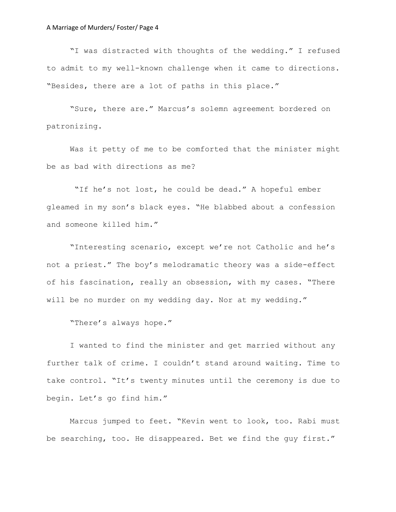"I was distracted with thoughts of the wedding." I refused to admit to my well-known challenge when it came to directions. "Besides, there are a lot of paths in this place."

"Sure, there are." Marcus's solemn agreement bordered on patronizing.

Was it petty of me to be comforted that the minister might be as bad with directions as me?

"If he's not lost, he could be dead." A hopeful ember gleamed in my son's black eyes. "He blabbed about a confession and someone killed him."

"Interesting scenario, except we're not Catholic and he's not a priest." The boy's melodramatic theory was a side-effect of his fascination, really an obsession, with my cases. "There will be no murder on my wedding day. Nor at my wedding."

"There's always hope."

I wanted to find the minister and get married without any further talk of crime. I couldn't stand around waiting. Time to take control. "It's twenty minutes until the ceremony is due to begin. Let's go find him."

Marcus jumped to feet. "Kevin went to look, too. Rabi must be searching, too. He disappeared. Bet we find the guy first."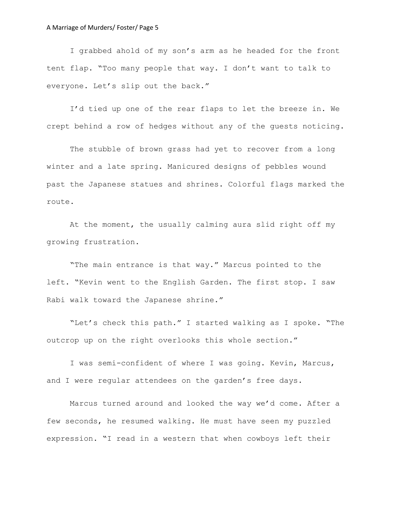I grabbed ahold of my son's arm as he headed for the front tent flap. "Too many people that way. I don't want to talk to everyone. Let's slip out the back."

I'd tied up one of the rear flaps to let the breeze in. We crept behind a row of hedges without any of the guests noticing.

The stubble of brown grass had yet to recover from a long winter and a late spring. Manicured designs of pebbles wound past the Japanese statues and shrines. Colorful flags marked the route.

At the moment, the usually calming aura slid right off my growing frustration.

"The main entrance is that way." Marcus pointed to the left. "Kevin went to the English Garden. The first stop. I saw Rabi walk toward the Japanese shrine."

"Let's check this path." I started walking as I spoke. "The outcrop up on the right overlooks this whole section."

I was semi-confident of where I was going. Kevin, Marcus, and I were regular attendees on the garden's free days.

Marcus turned around and looked the way we'd come. After a few seconds, he resumed walking. He must have seen my puzzled expression. "I read in a western that when cowboys left their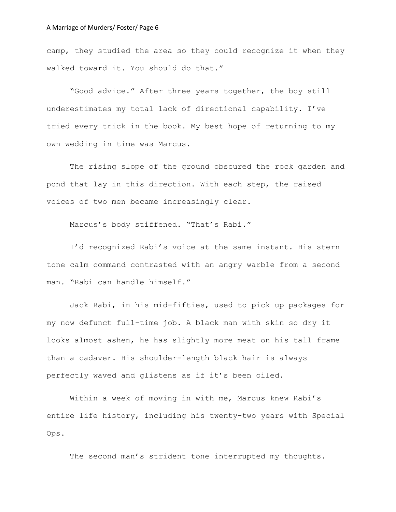camp, they studied the area so they could recognize it when they walked toward it. You should do that."

"Good advice." After three years together, the boy still underestimates my total lack of directional capability. I've tried every trick in the book. My best hope of returning to my own wedding in time was Marcus.

The rising slope of the ground obscured the rock garden and pond that lay in this direction. With each step, the raised voices of two men became increasingly clear.

Marcus's body stiffened. "That's Rabi."

I'd recognized Rabi's voice at the same instant. His stern tone calm command contrasted with an angry warble from a second man. "Rabi can handle himself."

Jack Rabi, in his mid-fifties, used to pick up packages for my now defunct full-time job. A black man with skin so dry it looks almost ashen, he has slightly more meat on his tall frame than a cadaver. His shoulder-length black hair is always perfectly waved and glistens as if it's been oiled.

Within a week of moving in with me, Marcus knew Rabi's entire life history, including his twenty-two years with Special Ops.

The second man's strident tone interrupted my thoughts.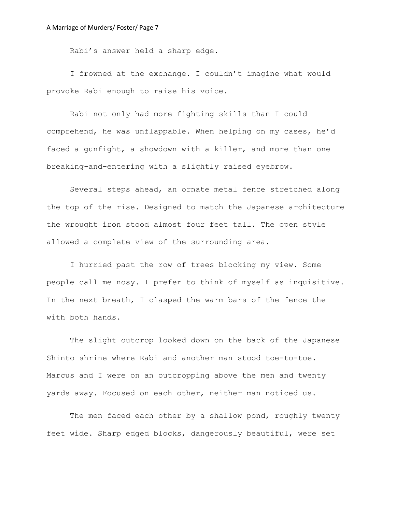Rabi's answer held a sharp edge.

I frowned at the exchange. I couldn't imagine what would provoke Rabi enough to raise his voice.

Rabi not only had more fighting skills than I could comprehend, he was unflappable. When helping on my cases, he'd faced a gunfight, a showdown with a killer, and more than one breaking-and-entering with a slightly raised eyebrow.

Several steps ahead, an ornate metal fence stretched along the top of the rise. Designed to match the Japanese architecture the wrought iron stood almost four feet tall. The open style allowed a complete view of the surrounding area.

I hurried past the row of trees blocking my view. Some people call me nosy. I prefer to think of myself as inquisitive. In the next breath, I clasped the warm bars of the fence the with both hands.

The slight outcrop looked down on the back of the Japanese Shinto shrine where Rabi and another man stood toe-to-toe. Marcus and I were on an outcropping above the men and twenty yards away. Focused on each other, neither man noticed us.

The men faced each other by a shallow pond, roughly twenty feet wide. Sharp edged blocks, dangerously beautiful, were set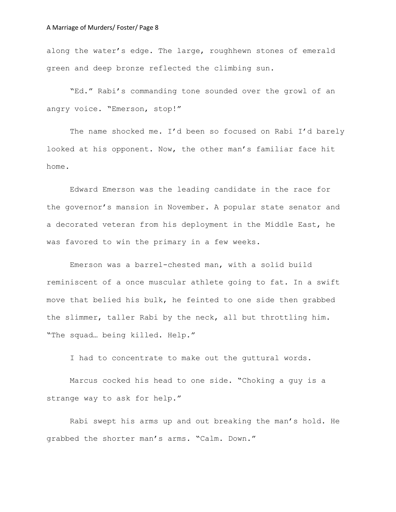along the water's edge. The large, roughhewn stones of emerald green and deep bronze reflected the climbing sun.

"Ed." Rabi's commanding tone sounded over the growl of an angry voice. "Emerson, stop!"

The name shocked me. I'd been so focused on Rabi I'd barely looked at his opponent. Now, the other man's familiar face hit home.

Edward Emerson was the leading candidate in the race for the governor's mansion in November. A popular state senator and a decorated veteran from his deployment in the Middle East, he was favored to win the primary in a few weeks.

Emerson was a barrel-chested man, with a solid build reminiscent of a once muscular athlete going to fat. In a swift move that belied his bulk, he feinted to one side then grabbed the slimmer, taller Rabi by the neck, all but throttling him. "The squad… being killed. Help."

I had to concentrate to make out the guttural words.

Marcus cocked his head to one side. "Choking a guy is a strange way to ask for help."

Rabi swept his arms up and out breaking the man's hold. He grabbed the shorter man's arms. "Calm. Down."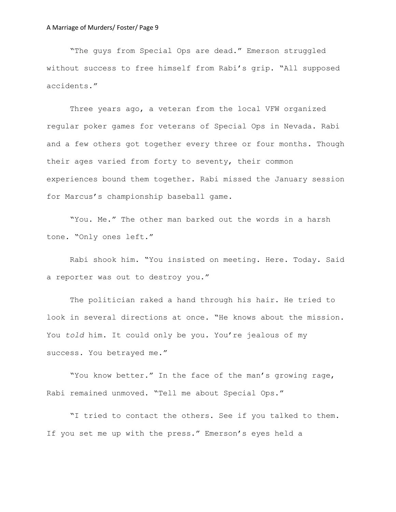"The guys from Special Ops are dead." Emerson struggled without success to free himself from Rabi's grip. "All supposed accidents."

Three years ago, a veteran from the local VFW organized regular poker games for veterans of Special Ops in Nevada. Rabi and a few others got together every three or four months. Though their ages varied from forty to seventy, their common experiences bound them together. Rabi missed the January session for Marcus's championship baseball game.

"You. Me." The other man barked out the words in a harsh tone. "Only ones left."

Rabi shook him. "You insisted on meeting. Here. Today. Said a reporter was out to destroy you."

The politician raked a hand through his hair. He tried to look in several directions at once. "He knows about the mission. You *told* him. It could only be you. You're jealous of my success. You betrayed me."

"You know better." In the face of the man's growing rage, Rabi remained unmoved. "Tell me about Special Ops."

"I tried to contact the others. See if you talked to them. If you set me up with the press." Emerson's eyes held a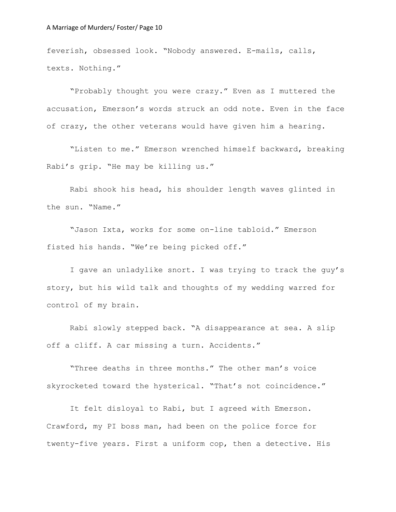feverish, obsessed look. "Nobody answered. E-mails, calls, texts. Nothing."

"Probably thought you were crazy." Even as I muttered the accusation, Emerson's words struck an odd note. Even in the face of crazy, the other veterans would have given him a hearing.

"Listen to me." Emerson wrenched himself backward, breaking Rabi's grip. "He may be killing us."

Rabi shook his head, his shoulder length waves glinted in the sun. "Name."

"Jason Ixta, works for some on-line tabloid." Emerson fisted his hands. "We're being picked off."

I gave an unladylike snort. I was trying to track the guy's story, but his wild talk and thoughts of my wedding warred for control of my brain.

Rabi slowly stepped back. "A disappearance at sea. A slip off a cliff. A car missing a turn. Accidents."

"Three deaths in three months." The other man's voice skyrocketed toward the hysterical. "That's not coincidence."

It felt disloyal to Rabi, but I agreed with Emerson. Crawford, my PI boss man, had been on the police force for twenty-five years. First a uniform cop, then a detective. His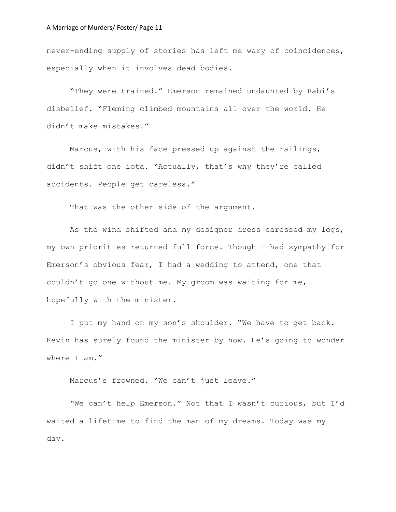never-ending supply of stories has left me wary of coincidences, especially when it involves dead bodies.

"They were trained." Emerson remained undaunted by Rabi's disbelief. "Fleming climbed mountains all over the world. He didn't make mistakes."

Marcus, with his face pressed up against the railings, didn't shift one iota. "Actually, that's why they're called accidents. People get careless."

That was the other side of the argument.

As the wind shifted and my designer dress caressed my legs, my own priorities returned full force. Though I had sympathy for Emerson's obvious fear, I had a wedding to attend, one that couldn't go one without me. My groom was waiting for me, hopefully with the minister.

I put my hand on my son's shoulder. "We have to get back. Kevin has surely found the minister by now. He's going to wonder where I am."

Marcus's frowned. "We can't just leave."

"We can't help Emerson." Not that I wasn't curious, but I'd waited a lifetime to find the man of my dreams. Today was my day.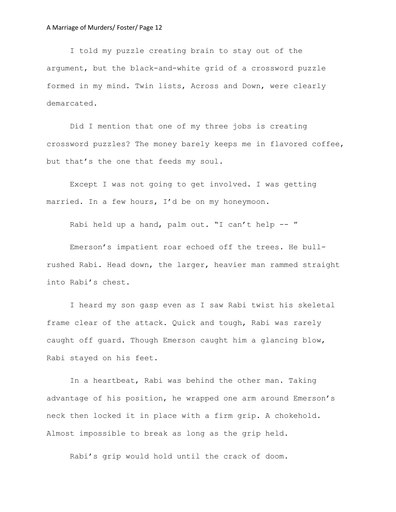I told my puzzle creating brain to stay out of the argument, but the black-and-white grid of a crossword puzzle formed in my mind. Twin lists, Across and Down, were clearly demarcated.

Did I mention that one of my three jobs is creating crossword puzzles? The money barely keeps me in flavored coffee, but that's the one that feeds my soul.

Except I was not going to get involved. I was getting married. In a few hours, I'd be on my honeymoon.

Rabi held up a hand, palm out. "I can't help -- "

Emerson's impatient roar echoed off the trees. He bullrushed Rabi. Head down, the larger, heavier man rammed straight into Rabi's chest.

I heard my son gasp even as I saw Rabi twist his skeletal frame clear of the attack. Quick and tough, Rabi was rarely caught off guard. Though Emerson caught him a glancing blow, Rabi stayed on his feet.

In a heartbeat, Rabi was behind the other man. Taking advantage of his position, he wrapped one arm around Emerson's neck then locked it in place with a firm grip. A chokehold. Almost impossible to break as long as the grip held.

Rabi's grip would hold until the crack of doom.